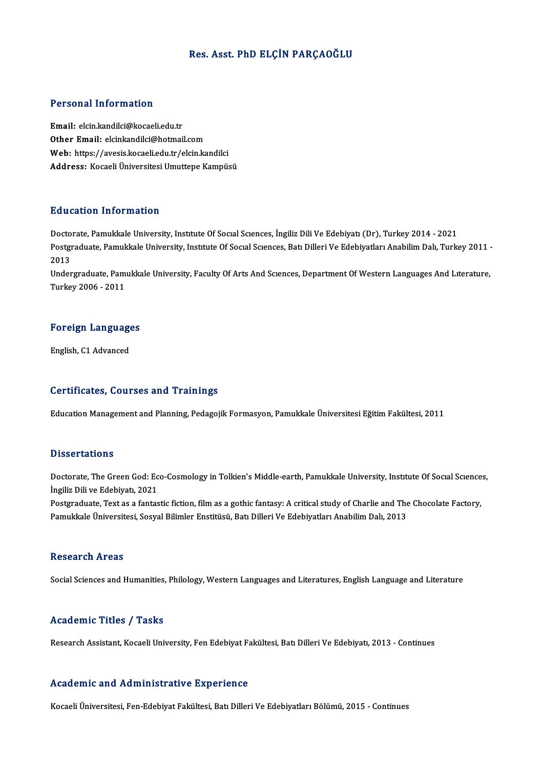#### Res. Asst. PhD ELÇİN PARÇAOĞLU

#### Personal Information

Email: elcin.kandilci@kocaeli.edu.tr Other Email: elcinkandilci@hotmail.com Email: elcin.kandilci@kocaeli.edu.tr<br>Other Email: elcinkandilci@hotmail.com<br>Web: https://avesis.kocaeli.edu.tr/elcin.kandilci<br>Address. Kosaeli Üniversitesi Umuttene Kemnüs Other Email: elcinkandilci@hotmail.com<br>Web: https://avesis.kocaeli.edu.tr/elcin.kandilci<br>Address: Kocaeli Üniversitesi Umuttepe Kampüsü

#### Education Information

Education Information<br>Doctorate, Pamukkale University, Institute Of Social Sciences, İngiliz Dili Ve Edebiyatı (Dr), Turkey 2014 - 2021<br>Postaraduata Pamukkale University, Institute Of Social Sciences, Pati Dillari Ve Edebi Pu u outron'nnon mucron<br>Doctorate, Pamukkale University, Institute Of Social Sciences, İngiliz Dili Ve Edebiyati (Dr), Turkey 2014 - 2021<br>Postgraduate, Pamukkale University, Institute Of Social Sciences, Batı Dilleri Ve Ed Docto<br>Postgi<br>2013<br>Under Postgraduate, Pamukkale University, Institute Of Social Sciences, Bati Dilleri Ve Edebiyatları Anabilim Dalı, Turkey 2011<br>2013<br>Undergraduate, Pamukkale University, Faculty Of Arts And Sciences, Department Of Western Langua

2013<br>Undergraduate, Pamukkale University, Faculty Of Arts And Scıences, Department Of Western Languages And Lıterature,<br>Turkey 2006 - 2011

## Turkey 2006 - 2011<br>Foreign Languages <mark>Foreign Languag</mark><br>English, C1 Advanced

# English, C1 Advanced<br>Certificates, Courses and Trainings

Education Management and Planning, Pedagojik Formasyon, Pamukkale Üniversitesi Eğitim Fakültesi, 2011

#### **Dissertations**

Dissertations<br>Doctorate, The Green God: Eco-Cosmology in Tolkien's Middle-earth, Pamukkale University, Institute Of Social Sciences,<br>Insilis Dili ve Edebiyat, 2021 **Disoci dirioms**<br>Doctorate, The Green God: Ec<br>İngiliz Dili ve Edebiyatı, 2021<br>Postavaduata Teut as a fantas Doctorate, The Green God: Eco-Cosmology in Tolkien's Middle-earth, Pamukkale University, Institute Of Social Science<br>İngiliz Dili ve Edebiyati, 2021<br>Postgraduate, Text as a fantastic fiction, film as a gothic fantasy: A cr

İngiliz Dili ve Edebiyatı, 2021<br>Postgraduate, Text as a fantastic fiction, film as a gothic fantasy: A critical study of Charlie and The<br>Pamukkale Üniversitesi, Sosyal Bilimler Enstitüsü, Batı Dilleri Ve Edebiyatları Anabi Pamukkale Üniversitesi, Sosyal Bilimler Enstitüsü, Batı Dilleri Ve Edebiyatları Anabilim Dalı, 2013<br>Research Areas

Social Sciences and Humanities, Philology, Western Languages and Literatures, English Language and Literature

#### Academic Titles / Tasks

Research Assistant, Kocaeli University, Fen Edebiyat Fakültesi, Batı Dilleri Ve Edebiyatı, 2013 - Continues

#### Academic and Administrative Experience

Kocaeli Üniversitesi, Fen-Edebiyat Fakültesi, Batı Dilleri Ve Edebiyatları Bölümü, 2015 - Continues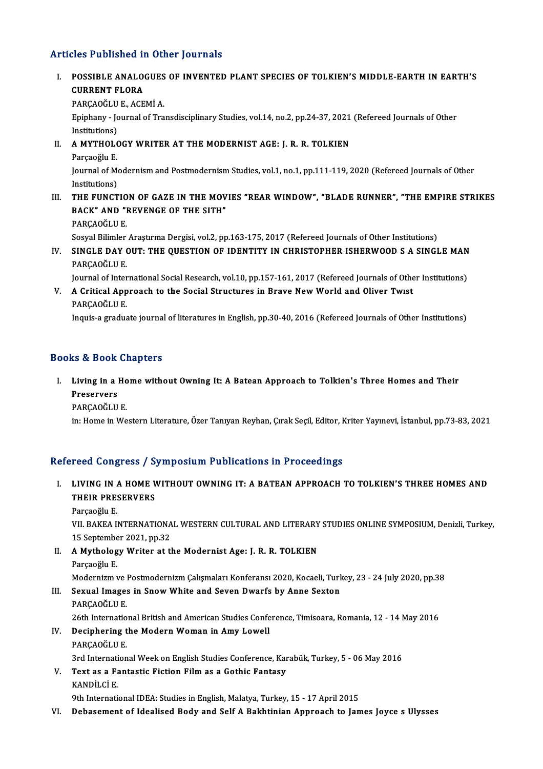## Articles Published in Other Journals

- rticles Published in Other Journals<br>I. POSSIBLE ANALOGUES OF INVENTED PLANT SPECIES OF TOLKIEN'S MIDDLE-EARTH IN EARTH'S<br>CURRENT ELORA NES TREMENCE<br>POSSIBLE ANALO<br>CURRENT FLORA<br>PARCAQČLU E ACE POSSIBLE ANALOGUES<br>CURRENT FLORA<br>PARÇAOĞLU E., ACEMİ A.<br>Eninbany - Journal of Tra CURRENT FLORA<br>PARÇAOĞLU E., ACEMİ A.<br>Epiphany - Journal of Transdisciplinary Studies, vol.14, no.2, pp.24-37, 2021 (Refereed Journals of Other<br>Institutions) PARÇAOĞLU<br>Epiphany - Jo<br>Institutions)<br>A MYTHOLO Epiphany - Journal of Transdisciplinary Studies, vol.14, no.2, pp.24-37, 2021<br>Institutions)<br>II. A MYTHOLOGY WRITER AT THE MODERNIST AGE: J. R. R. TOLKIEN<br>Parsocially E Institutions)<br>**A MYTHOLO**<br>Parçaoğlu E.<br>Journal of M A MYTHOLOGY WRITER AT THE MODERNIST AGE: J. R. R. TOLKIEN<br>Parçaoğlu E.<br>Journal of Modernism and Postmodernism Studies, vol.1, no.1, pp.111-119, 2020 (Refereed Journals of Other<br>Institutions) Parçaoğlu E.<br>Journal of Me<br>Institutions)<br>THE EUNCT Journal of Modernism and Postmodernism Studies, vol.1, no.1, pp.111-119, 2020 (Refereed Journals of Other<br>Institutions)<br>III. THE FUNCTION OF GAZE IN THE MOVIES "REAR WINDOW", "BLADE RUNNER", "THE EMPIRE STRIKES<br>BACK" AND " Institutions)<br>THE FUNCTION OF GAZE IN THE MOV<br>BACK" AND "REVENGE OF THE SITH"<br>BARCAOČULE BACK" AND "REVENGE OF THE SITH"<br>PARÇAOĞLU E. Sosyal Bilimler Araştırma Dergisi, vol.2, pp.163-175, 2017 (Refereed Journals of Other Institutions)
- IV. SINGLE DAY OUT: THE QUESTION OF IDENTITY IN CHRISTOPHER ISHERWOOD S A SINGLEMAN PARÇAOĞLU E SINGLE DAY OUT: THE QUESTION OF IDENTITY IN CHRISTOPHER ISHERWOOD S A SINGLE MAN<br>PARÇAOĞLU E.<br>Journal of International Social Research, vol.10, pp.157-161, 2017 (Refereed Journals of Other Institutions)<br>A Critical Annroach

PARÇAOĞLU E.<br>Journal of International Social Research, vol.10, pp.157-161, 2017 (Refereed Journals of Othe<br>V. A Critical Approach to the Social Structures in Brave New World and Oliver Twist<br>RARCAOČLU E Journal of Inter<br>A Critical App<br>PARÇAOĞLU E.<br>Inquis a gradue V. A Critical Approach to the Social Structures in Brave New World and Oliver Twist<br>PARÇAOĞLU E.<br>Inquis-a graduate journal of literatures in English, pp.30-40, 2016 (Refereed Journals of Other Institutions)

### Books&Book Chapters

ooks & Book Chapters<br>I. Living in a Home without Owning It: A Batean Approach to Tolkien's Three Homes and Their<br>Reseaves EU DOOR<br>Living in a l<br>Preservers<br>RARCAQČUU Living in a Ho<br>Preservers<br>PARÇAOĞLU E.<br>in: Homo in Wo Preservers<br>PARÇAOĞLU E.<br>in: Home in Western Literature, Özer Tanıyan Reyhan, Çırak Seçil, Editor, Kriter Yayınevi, İstanbul, pp.73-83, 2021

#### Refereed Congress / Symposium Publications in Proceedings

- efereed Congress / Symposium Publications in Proceedings<br>I. LIVING IN A HOME WITHOUT OWNING IT: A BATEAN APPROACH TO TOLKIEN'S THREE HOMES AND<br>THEIR PRESERVERS TUUR DUNG IN A HOME V<br>LIVING IN A HOME V<br>THEIR PRESERVERS LIVING IN *1*<br>THEIR PRE:<br>Parçaoğlu E.<br>VII PAKEA I
	-

THEIR PRESERVERS<br>Parçaoğlu E.<br>VII. BAKEA INTERNATIONAL WESTERN CULTURAL AND LITERARY STUDIES ONLINE SYMPOSIUM, Denizli, Turkey,<br>15 September 2021 pp 22 Parçaoğlu E.<br>VII. BAKEA INTERNATIONA<br>15 September 2021, pp.32<br>A Muthologu Writon at th VII. BAKEA INTERNATIONAL WESTERN CULTURAL AND LITERARY<br>15 September 2021, pp.32<br>II. A Mythology Writer at the Modernist Age: J. R. R. TOLKIEN<br>Parges ču E

15 September 2021, pp.32<br>II. A Mythology Writer at the Modernist Age: J. R. R. TOLKIEN<br>Parçaoğlu E. A Mythology Writer at the Modernist Age: J. R. R. TOLKIEN<br>Parçaoğlu E.<br>Modernizm ve Postmodernizm Çalışmaları Konferansı 2020, Kocaeli, Turkey, 23 - 24 July 2020, pp.38<br>Sewyal Images in Snow White and Seven Dwarfs by Anne

- Parçaoğlu E.<br>Modernizm ve Postmodernizm Çalışmaları Konferansı 2020, Kocaeli, Turk<br>III. Sexual Images in Snow White and Seven Dwarfs by Anne Sexton<br>RARCAOĞLU E Modernizm ve <mark>)</mark><br>Sexual Image:<br>PARÇAOĞLU E.<br>26th Internatio III. Sexual Images in Snow White and Seven Dwarfs by Anne Sexton<br>PARÇAOĞLU E.<br>26th International British and American Studies Conference, Timisoara, Romania, 12 - 14 May 2016
- IV. Deciphering the Modern Woman in Amy Lowell PARÇAOĞLUE. Deciphering the Modern Woman in Amy Lowell<br>PARÇAOĞLU E.<br>3rd International Week on English Studies Conference, Karabük, Turkey, 5 - 06 May 2016<br>Text es e Eantestic Fistion Film es e Cothic Fantesy.
- V. Text as a Fantastic Fiction Filmas a Gothic Fantasy 3rd Internati<br>Text as a Fa<br>KANDİLCİ E.<br><sup>Oth Internati</sup> 9th International IDEA: Studies in English, Malatya, Turkey, 15 - 17 April 2015
- VI. Debasement of Idealised Body and Self A Bakhtinian Approach to James Joyce s Ulysses